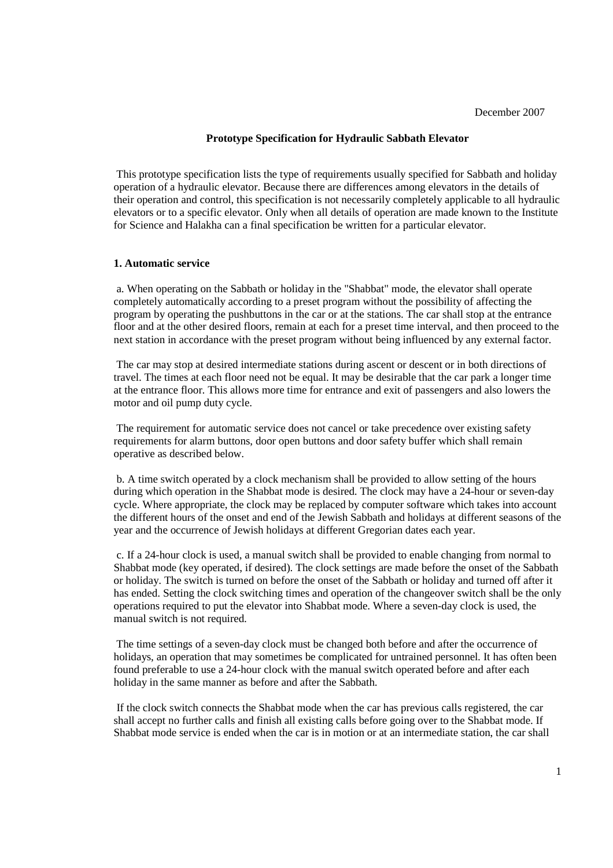#### **Prototype Specification for Hydraulic Sabbath Elevator**

 This prototype specification lists the type of requirements usually specified for Sabbath and holiday operation of a hydraulic elevator. Because there are differences among elevators in the details of their operation and control, this specification is not necessarily completely applicable to all hydraulic elevators or to a specific elevator. Only when all details of operation are made known to the Institute for Science and Halakha can a final specification be written for a particular elevator.

#### **1. Automatic service**

 a. When operating on the Sabbath or holiday in the "Shabbat" mode, the elevator shall operate completely automatically according to a preset program without the possibility of affecting the program by operating the pushbuttons in the car or at the stations. The car shall stop at the entrance floor and at the other desired floors, remain at each for a preset time interval, and then proceed to the next station in accordance with the preset program without being influenced by any external factor.

 The car may stop at desired intermediate stations during ascent or descent or in both directions of travel. The times at each floor need not be equal. It may be desirable that the car park a longer time at the entrance floor. This allows more time for entrance and exit of passengers and also lowers the motor and oil pump duty cycle.

 The requirement for automatic service does not cancel or take precedence over existing safety requirements for alarm buttons, door open buttons and door safety buffer which shall remain operative as described below.

 b. A time switch operated by a clock mechanism shall be provided to allow setting of the hours during which operation in the Shabbat mode is desired. The clock may have a 24-hour or seven-day cycle. Where appropriate, the clock may be replaced by computer software which takes into account the different hours of the onset and end of the Jewish Sabbath and holidays at different seasons of the year and the occurrence of Jewish holidays at different Gregorian dates each year.

 c. If a 24-hour clock is used, a manual switch shall be provided to enable changing from normal to Shabbat mode (key operated, if desired). The clock settings are made before the onset of the Sabbath or holiday. The switch is turned on before the onset of the Sabbath or holiday and turned off after it has ended. Setting the clock switching times and operation of the changeover switch shall be the only operations required to put the elevator into Shabbat mode. Where a seven-day clock is used, the manual switch is not required.

 The time settings of a seven-day clock must be changed both before and after the occurrence of holidays, an operation that may sometimes be complicated for untrained personnel. It has often been found preferable to use a 24-hour clock with the manual switch operated before and after each holiday in the same manner as before and after the Sabbath.

 If the clock switch connects the Shabbat mode when the car has previous calls registered, the car shall accept no further calls and finish all existing calls before going over to the Shabbat mode. If Shabbat mode service is ended when the car is in motion or at an intermediate station, the car shall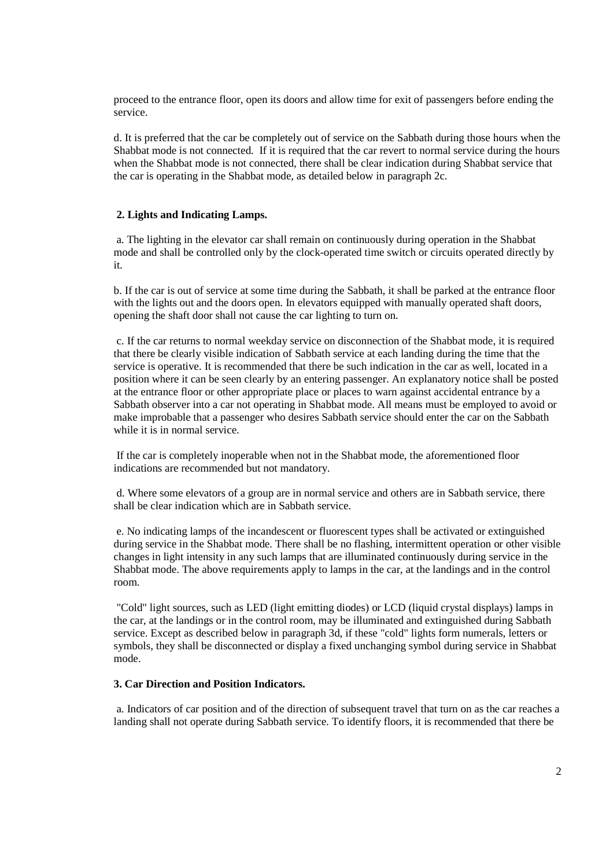proceed to the entrance floor, open its doors and allow time for exit of passengers before ending the service.

d. It is preferred that the car be completely out of service on the Sabbath during those hours when the Shabbat mode is not connected. If it is required that the car revert to normal service during the hours when the Shabbat mode is not connected, there shall be clear indication during Shabbat service that the car is operating in the Shabbat mode, as detailed below in paragraph 2c.

### **2. Lights and Indicating Lamps.**

 a. The lighting in the elevator car shall remain on continuously during operation in the Shabbat mode and shall be controlled only by the clock-operated time switch or circuits operated directly by it.

b. If the car is out of service at some time during the Sabbath, it shall be parked at the entrance floor with the lights out and the doors open. In elevators equipped with manually operated shaft doors, opening the shaft door shall not cause the car lighting to turn on.

 c. If the car returns to normal weekday service on disconnection of the Shabbat mode, it is required that there be clearly visible indication of Sabbath service at each landing during the time that the service is operative. It is recommended that there be such indication in the car as well, located in a position where it can be seen clearly by an entering passenger. An explanatory notice shall be posted at the entrance floor or other appropriate place or places to warn against accidental entrance by a Sabbath observer into a car not operating in Shabbat mode. All means must be employed to avoid or make improbable that a passenger who desires Sabbath service should enter the car on the Sabbath while it is in normal service.

 If the car is completely inoperable when not in the Shabbat mode, the aforementioned floor indications are recommended but not mandatory.

 d. Where some elevators of a group are in normal service and others are in Sabbath service, there shall be clear indication which are in Sabbath service.

 e. No indicating lamps of the incandescent or fluorescent types shall be activated or extinguished during service in the Shabbat mode. There shall be no flashing, intermittent operation or other visible changes in light intensity in any such lamps that are illuminated continuously during service in the Shabbat mode. The above requirements apply to lamps in the car, at the landings and in the control room.

 "Cold" light sources, such as LED (light emitting diodes) or LCD (liquid crystal displays) lamps in the car, at the landings or in the control room, may be illuminated and extinguished during Sabbath service. Except as described below in paragraph 3d, if these "cold" lights form numerals, letters or symbols, they shall be disconnected or display a fixed unchanging symbol during service in Shabbat mode.

# **3. Car Direction and Position Indicators.**

 a. Indicators of car position and of the direction of subsequent travel that turn on as the car reaches a landing shall not operate during Sabbath service. To identify floors, it is recommended that there be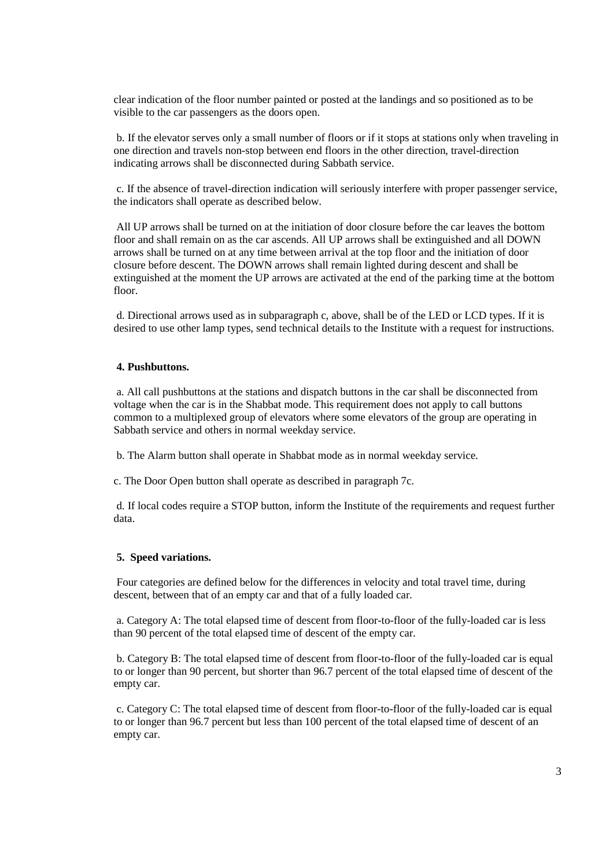clear indication of the floor number painted or posted at the landings and so positioned as to be visible to the car passengers as the doors open.

 b. If the elevator serves only a small number of floors or if it stops at stations only when traveling in one direction and travels non-stop between end floors in the other direction, travel-direction indicating arrows shall be disconnected during Sabbath service.

 c. If the absence of travel-direction indication will seriously interfere with proper passenger service, the indicators shall operate as described below.

 All UP arrows shall be turned on at the initiation of door closure before the car leaves the bottom floor and shall remain on as the car ascends. All UP arrows shall be extinguished and all DOWN arrows shall be turned on at any time between arrival at the top floor and the initiation of door closure before descent. The DOWN arrows shall remain lighted during descent and shall be extinguished at the moment the UP arrows are activated at the end of the parking time at the bottom floor.

 d. Directional arrows used as in subparagraph c, above, shall be of the LED or LCD types. If it is desired to use other lamp types, send technical details to the Institute with a request for instructions.

## **4. Pushbuttons.**

 a. All call pushbuttons at the stations and dispatch buttons in the car shall be disconnected from voltage when the car is in the Shabbat mode. This requirement does not apply to call buttons common to a multiplexed group of elevators where some elevators of the group are operating in Sabbath service and others in normal weekday service.

b. The Alarm button shall operate in Shabbat mode as in normal weekday service.

c. The Door Open button shall operate as described in paragraph 7c.

 d. If local codes require a STOP button, inform the Institute of the requirements and request further data.

### **5. Speed variations.**

 Four categories are defined below for the differences in velocity and total travel time, during descent, between that of an empty car and that of a fully loaded car.

 a. Category A: The total elapsed time of descent from floor-to-floor of the fully-loaded car is less than 90 percent of the total elapsed time of descent of the empty car.

 b. Category B: The total elapsed time of descent from floor-to-floor of the fully-loaded car is equal to or longer than 90 percent, but shorter than 96.7 percent of the total elapsed time of descent of the empty car.

 c. Category C: The total elapsed time of descent from floor-to-floor of the fully-loaded car is equal to or longer than 96.7 percent but less than 100 percent of the total elapsed time of descent of an empty car.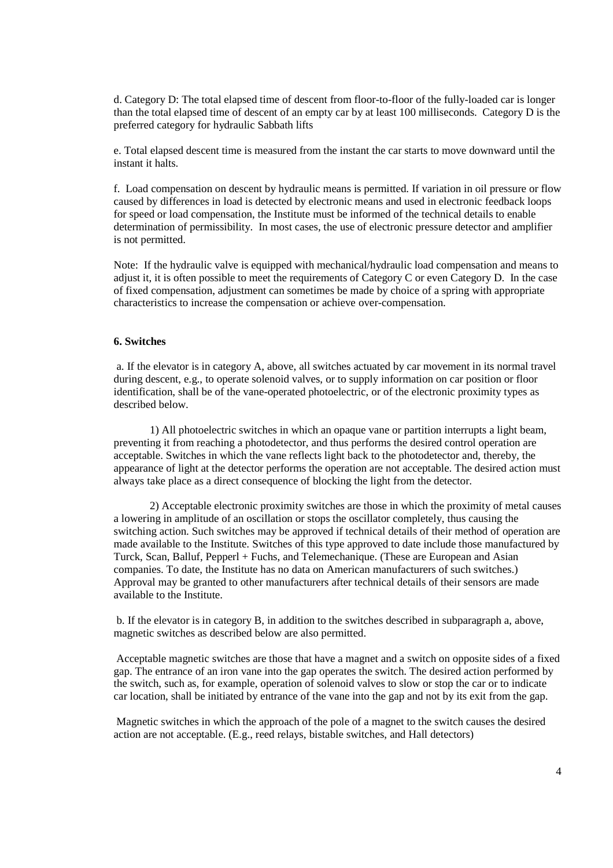d. Category D: The total elapsed time of descent from floor-to-floor of the fully-loaded car is longer than the total elapsed time of descent of an empty car by at least 100 milliseconds. Category D is the preferred category for hydraulic Sabbath lifts

e. Total elapsed descent time is measured from the instant the car starts to move downward until the instant it halts.

f. Load compensation on descent by hydraulic means is permitted. If variation in oil pressure or flow caused by differences in load is detected by electronic means and used in electronic feedback loops for speed or load compensation, the Institute must be informed of the technical details to enable determination of permissibility. In most cases, the use of electronic pressure detector and amplifier is not permitted.

Note: If the hydraulic valve is equipped with mechanical/hydraulic load compensation and means to adjust it, it is often possible to meet the requirements of Category C or even Category D. In the case of fixed compensation, adjustment can sometimes be made by choice of a spring with appropriate characteristics to increase the compensation or achieve over-compensation.

### **6. Switches**

 a. If the elevator is in category A, above, all switches actuated by car movement in its normal travel during descent, e.g., to operate solenoid valves, or to supply information on car position or floor identification, shall be of the vane-operated photoelectric, or of the electronic proximity types as described below.

1) All photoelectric switches in which an opaque vane or partition interrupts a light beam, preventing it from reaching a photodetector, and thus performs the desired control operation are acceptable. Switches in which the vane reflects light back to the photodetector and, thereby, the appearance of light at the detector performs the operation are not acceptable. The desired action must always take place as a direct consequence of blocking the light from the detector.

2) Acceptable electronic proximity switches are those in which the proximity of metal causes a lowering in amplitude of an oscillation or stops the oscillator completely, thus causing the switching action. Such switches may be approved if technical details of their method of operation are made available to the Institute. Switches of this type approved to date include those manufactured by Turck, Scan, Balluf, Pepperl + Fuchs, and Telemechanique. (These are European and Asian companies. To date, the Institute has no data on American manufacturers of such switches.) Approval may be granted to other manufacturers after technical details of their sensors are made available to the Institute.

 b. If the elevator is in category B, in addition to the switches described in subparagraph a, above, magnetic switches as described below are also permitted.

 Acceptable magnetic switches are those that have a magnet and a switch on opposite sides of a fixed gap. The entrance of an iron vane into the gap operates the switch. The desired action performed by the switch, such as, for example, operation of solenoid valves to slow or stop the car or to indicate car location, shall be initiated by entrance of the vane into the gap and not by its exit from the gap.

 Magnetic switches in which the approach of the pole of a magnet to the switch causes the desired action are not acceptable. (E.g., reed relays, bistable switches, and Hall detectors)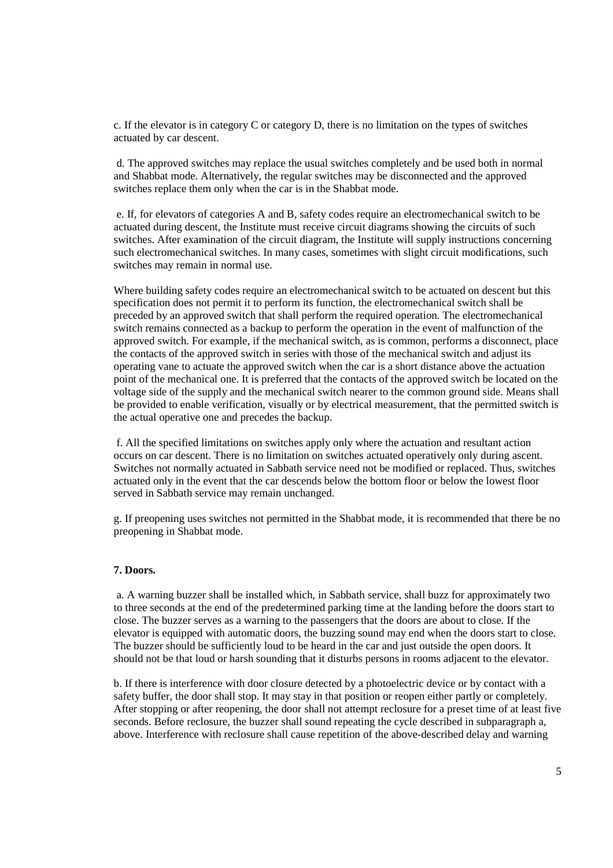c. If the elevator is in category C or category D, there is no limitation on the types of switches actuated by car descent.

 d. The approved switches may replace the usual switches completely and be used both in normal and Shabbat mode. Alternatively, the regular switches may be disconnected and the approved switches replace them only when the car is in the Shabbat mode.

 e. If, for elevators of categories A and B, safety codes require an electromechanical switch to be actuated during descent, the Institute must receive circuit diagrams showing the circuits of such switches. After examination of the circuit diagram, the Institute will supply instructions concerning such electromechanical switches. In many cases, sometimes with slight circuit modifications, such switches may remain in normal use.

Where building safety codes require an electromechanical switch to be actuated on descent but this specification does not permit it to perform its function, the electromechanical switch shall be preceded by an approved switch that shall perform the required operation. The electromechanical switch remains connected as a backup to perform the operation in the event of malfunction of the approved switch. For example, if the mechanical switch, as is common, performs a disconnect, place the contacts of the approved switch in series with those of the mechanical switch and adjust its operating vane to actuate the approved switch when the car is a short distance above the actuation point of the mechanical one. It is preferred that the contacts of the approved switch be located on the voltage side of the supply and the mechanical switch nearer to the common ground side. Means shall be provided to enable verification, visually or by electrical measurement, that the permitted switch is the actual operative one and precedes the backup.

 f. All the specified limitations on switches apply only where the actuation and resultant action occurs on car descent. There is no limitation on switches actuated operatively only during ascent. Switches not normally actuated in Sabbath service need not be modified or replaced. Thus, switches actuated only in the event that the car descends below the bottom floor or below the lowest floor served in Sabbath service may remain unchanged.

g. If preopening uses switches not permitted in the Shabbat mode, it is recommended that there be no preopening in Shabbat mode.

#### **7. Doors.**

 a. A warning buzzer shall be installed which, in Sabbath service, shall buzz for approximately two to three seconds at the end of the predetermined parking time at the landing before the doors start to close. The buzzer serves as a warning to the passengers that the doors are about to close. If the elevator is equipped with automatic doors, the buzzing sound may end when the doors start to close. The buzzer should be sufficiently loud to be heard in the car and just outside the open doors. It should not be that loud or harsh sounding that it disturbs persons in rooms adjacent to the elevator.

b. If there is interference with door closure detected by a photoelectric device or by contact with a safety buffer, the door shall stop. It may stay in that position or reopen either partly or completely. After stopping or after reopening, the door shall not attempt reclosure for a preset time of at least five seconds. Before reclosure, the buzzer shall sound repeating the cycle described in subparagraph a, above. Interference with reclosure shall cause repetition of the above-described delay and warning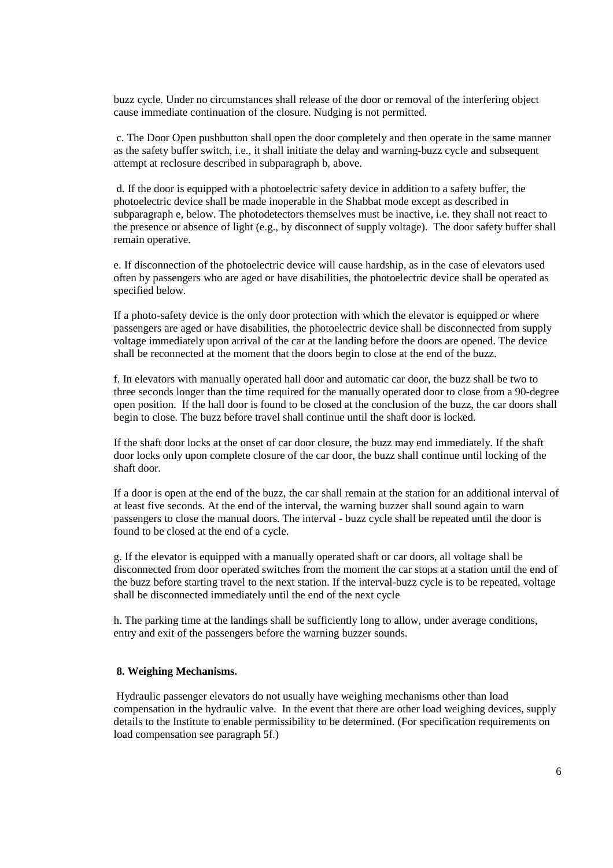buzz cycle. Under no circumstances shall release of the door or removal of the interfering object cause immediate continuation of the closure. Nudging is not permitted.

 c. The Door Open pushbutton shall open the door completely and then operate in the same manner as the safety buffer switch, i.e., it shall initiate the delay and warning-buzz cycle and subsequent attempt at reclosure described in subparagraph b, above.

 d. If the door is equipped with a photoelectric safety device in addition to a safety buffer, the photoelectric device shall be made inoperable in the Shabbat mode except as described in subparagraph e, below. The photodetectors themselves must be inactive, i.e. they shall not react to the presence or absence of light (e.g., by disconnect of supply voltage). The door safety buffer shall remain operative.

e. If disconnection of the photoelectric device will cause hardship, as in the case of elevators used often by passengers who are aged or have disabilities, the photoelectric device shall be operated as specified below.

If a photo-safety device is the only door protection with which the elevator is equipped or where passengers are aged or have disabilities, the photoelectric device shall be disconnected from supply voltage immediately upon arrival of the car at the landing before the doors are opened. The device shall be reconnected at the moment that the doors begin to close at the end of the buzz.

f. In elevators with manually operated hall door and automatic car door, the buzz shall be two to three seconds longer than the time required for the manually operated door to close from a 90-degree open position. If the hall door is found to be closed at the conclusion of the buzz, the car doors shall begin to close. The buzz before travel shall continue until the shaft door is locked.

If the shaft door locks at the onset of car door closure, the buzz may end immediately. If the shaft door locks only upon complete closure of the car door, the buzz shall continue until locking of the shaft door.

If a door is open at the end of the buzz, the car shall remain at the station for an additional interval of at least five seconds. At the end of the interval, the warning buzzer shall sound again to warn passengers to close the manual doors. The interval - buzz cycle shall be repeated until the door is found to be closed at the end of a cycle.

g. If the elevator is equipped with a manually operated shaft or car doors, all voltage shall be disconnected from door operated switches from the moment the car stops at a station until the end of the buzz before starting travel to the next station. If the interval-buzz cycle is to be repeated, voltage shall be disconnected immediately until the end of the next cycle

h. The parking time at the landings shall be sufficiently long to allow, under average conditions, entry and exit of the passengers before the warning buzzer sounds.

# **8. Weighing Mechanisms.**

 Hydraulic passenger elevators do not usually have weighing mechanisms other than load compensation in the hydraulic valve. In the event that there are other load weighing devices, supply details to the Institute to enable permissibility to be determined. (For specification requirements on load compensation see paragraph 5f.)